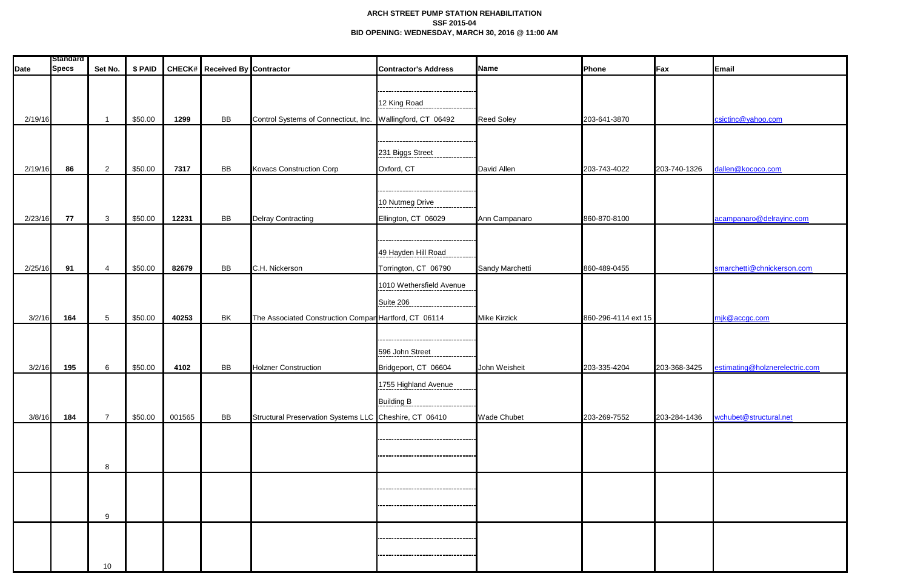## **ARCH STREET PUMP STATION REHABILITATION SSF 2015-04 BID OPENING: WEDNESDAY, MARCH 30, 2016 @ 11:00 AM**

| <b>Date</b> | <b>Standard</b><br><b>Specs</b> | Set No.         | \$ PAID |        | <b>CHECK#</b> Received By Contractor |                                                            | <b>Contractor's Address</b>                    | Name                | Phone               | Fax          | Email                          |
|-------------|---------------------------------|-----------------|---------|--------|--------------------------------------|------------------------------------------------------------|------------------------------------------------|---------------------|---------------------|--------------|--------------------------------|
|             |                                 |                 |         |        |                                      |                                                            |                                                |                     |                     |              |                                |
|             |                                 |                 |         |        |                                      |                                                            | 12 King Road                                   |                     |                     |              |                                |
| 2/19/16     |                                 |                 | \$50.00 | 1299   | <b>BB</b>                            | Control Systems of Connecticut, Inc. Wallingford, CT 06492 |                                                | <b>Reed Soley</b>   | 203-641-3870        |              | csictinc@yahoo.com             |
|             |                                 |                 |         |        |                                      |                                                            |                                                |                     |                     |              |                                |
|             |                                 |                 |         |        |                                      |                                                            | -------------------<br>231 Biggs Street        |                     |                     |              |                                |
| 2/19/16     | 86                              | 2               | \$50.00 | 7317   | BB                                   | <b>Kovacs Construction Corp</b>                            | Oxford, CT                                     | David Allen         | 203-743-4022        | 203-740-1326 | dallen@kococo.com              |
|             |                                 |                 |         |        |                                      |                                                            |                                                |                     |                     |              |                                |
|             |                                 |                 |         |        |                                      |                                                            | 10 Nutmeg Drive                                |                     |                     |              |                                |
| 2/23/16     | 77                              | 3               | \$50.00 | 12231  | <b>BB</b>                            | <b>Delray Contracting</b>                                  | Ellington, CT 06029                            | Ann Campanaro       | 860-870-8100        |              | acampanaro@delrayinc.com       |
|             |                                 |                 |         |        |                                      |                                                            |                                                |                     |                     |              |                                |
|             |                                 |                 |         |        |                                      |                                                            | -----------------------<br>49 Hayden Hill Road |                     |                     |              |                                |
| 2/25/16     | 91                              | $\overline{4}$  | \$50.00 | 82679  | BB                                   | C.H. Nickerson                                             | Torrington, CT 06790                           | Sandy Marchetti     | 860-489-0455        |              | smarchetti@chnickerson.com     |
|             |                                 |                 |         |        |                                      |                                                            | 1010 Wethersfield Avenue                       |                     |                     |              |                                |
|             |                                 |                 |         |        |                                      |                                                            | Suite 206                                      |                     |                     |              |                                |
| 3/2/16      | 164                             | $5\phantom{.0}$ | \$50.00 | 40253  | BK                                   | The Associated Construction Compan Hartford, CT 06114      |                                                | <b>Mike Kirzick</b> | 860-296-4114 ext 15 |              | mjk@accgc.com                  |
|             |                                 |                 |         |        |                                      |                                                            | -------------------                            |                     |                     |              |                                |
|             |                                 |                 |         |        |                                      |                                                            | 596 John Street                                |                     |                     |              |                                |
| 3/2/16      | 195                             | 6               | \$50.00 | 4102   | <b>BB</b>                            | <b>Holzner Construction</b>                                | Bridgeport, CT 06604                           | John Weisheit       | 203-335-4204        | 203-368-3425 | estimating@holznerelectric.com |
|             |                                 |                 |         |        |                                      |                                                            | 1755 Highland Avenue                           |                     |                     |              |                                |
|             |                                 |                 |         |        |                                      |                                                            | Building B                                     |                     |                     |              |                                |
| 3/8/16      | 184                             | $\overline{7}$  | \$50.00 | 001565 | <b>BB</b>                            | Structural Preservation Systems LLC Cheshire, CT 06410     |                                                | <b>Wade Chubet</b>  | 203-269-7552        | 203-284-1436 | wchubet@structural.net         |
|             |                                 |                 |         |        |                                      |                                                            |                                                |                     |                     |              |                                |
|             |                                 |                 |         |        |                                      |                                                            |                                                |                     |                     |              |                                |
|             |                                 | 8               |         |        |                                      |                                                            |                                                |                     |                     |              |                                |
|             |                                 |                 |         |        |                                      |                                                            | ---------------------------------              |                     |                     |              |                                |
|             |                                 |                 |         |        |                                      |                                                            |                                                |                     |                     |              |                                |
|             |                                 | 9               |         |        |                                      |                                                            |                                                |                     |                     |              |                                |
|             |                                 |                 |         |        |                                      |                                                            | ------------------------                       |                     |                     |              |                                |
|             |                                 |                 |         |        |                                      |                                                            |                                                |                     |                     |              |                                |
|             |                                 | 10 <sup>°</sup> |         |        |                                      |                                                            |                                                |                     |                     |              |                                |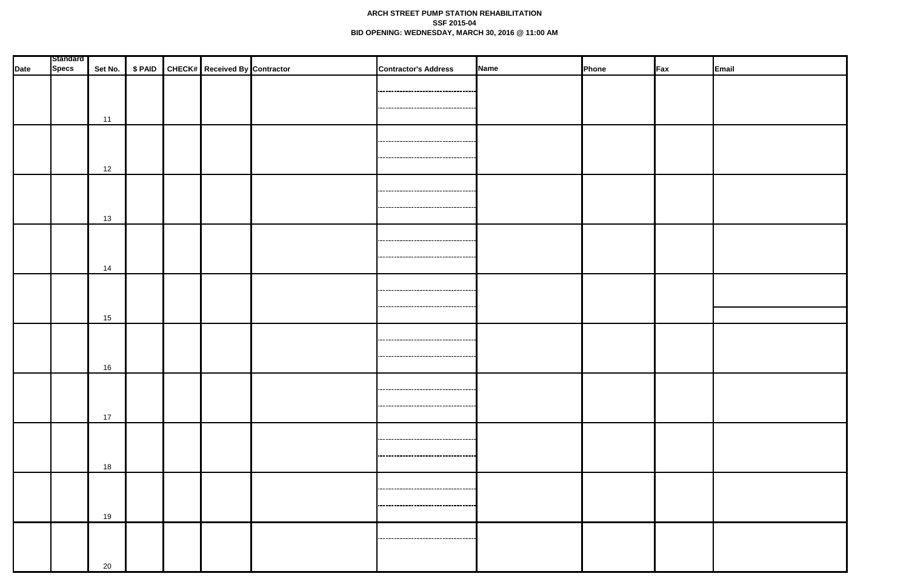## **ARCH STREET PUMP STATION REHABILITATION SSF 2015-04 BID OPENING: WEDNESDAY, MARCH 30, 2016 @ 11:00 AM**

|      | <b>Standard</b> |    |  |                                                     |                                                                              |             |       |     |       |
|------|-----------------|----|--|-----------------------------------------------------|------------------------------------------------------------------------------|-------------|-------|-----|-------|
| Date | <b>Specs</b>    |    |  | Set No.   \$ PAID   CHECK#   Received By Contractor | <b>Contractor's Address</b>                                                  | <b>Name</b> | Phone | Fax | Email |
|      |                 | 11 |  |                                                     | ------------------------------------<br>------------------------------------ |             |       |     |       |
|      |                 | 12 |  |                                                     | ------------------------------                                               |             |       |     |       |
|      |                 | 13 |  |                                                     | <br>,,,,,,,,,,,,,,,,,,,,,,,,,,,,,,,,,,,,,,                                   |             |       |     |       |
|      |                 | 14 |  |                                                     | ----------------------------------                                           |             |       |     |       |
|      |                 | 15 |  |                                                     | ,,,,,,,,,,,,,,,,,,,,,,,,,,,,,,,,,,,,,<br>-------------------------------     |             |       |     |       |
|      |                 | 16 |  |                                                     | ----------------------------------<br>----------------------------------     |             |       |     |       |
|      |                 | 17 |  |                                                     | -----------------------------------<br>-----------------------------------   |             |       |     |       |
|      |                 | 18 |  |                                                     | -----------------------------------<br>------------------------------------- |             |       |     |       |
|      |                 | 19 |  |                                                     | ,,,,,,,,,,,,,,,,,,,,,,,,,,,,,,,,,,,<br>-----------------------------------   |             |       |     |       |
|      |                 | 20 |  |                                                     |                                                                              |             |       |     |       |